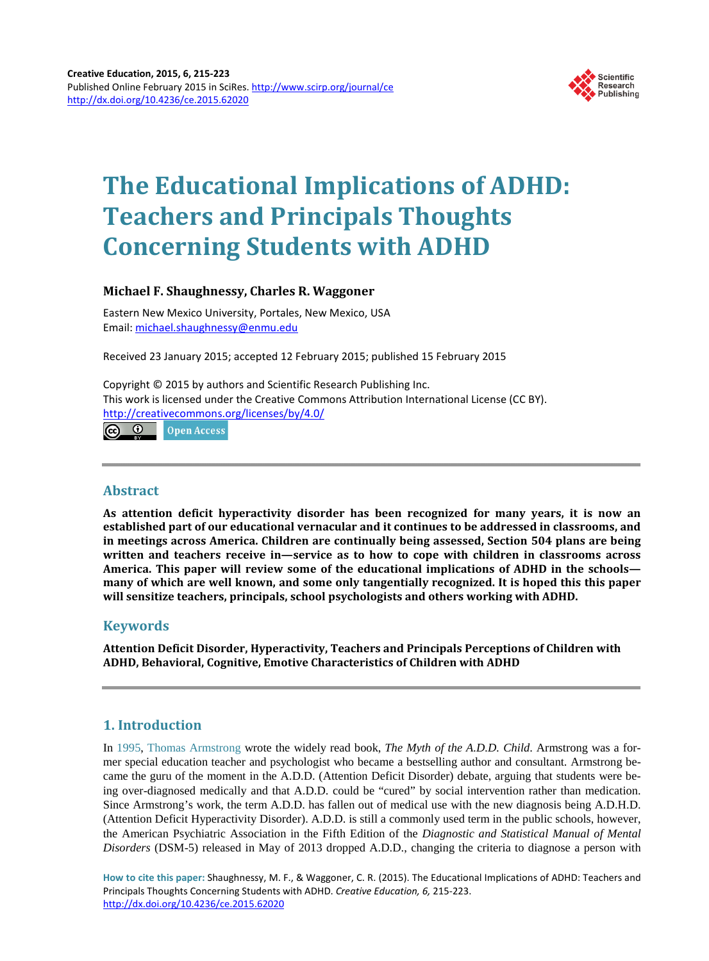

# **The Educational Implications of ADHD: Teachers and Principals Thoughts Concerning Students with ADHD**

# **Michael F. Shaughnessy, Charles R. Waggoner**

Eastern New Mexico University, Portales, New Mexico, USA Email: [michael.shaughnessy@enmu.edu](mailto:michael.shaughnessy@enmu.edu) 

Received 23 January 2015; accepted 12 February 2015; published 15 February 2015

Copyright © 2015 by authors and Scientific Research Publishing Inc. This work is licensed under the Creative Commons Attribution International License (CC BY). <http://creativecommons.org/licenses/by/4.0/>

ര 0 **Open Access** 

# **Abstract**

**As attention deficit hyperactivity disorder has been recognized for many years, it is now an established part of our educational vernacular and it continues to be addressed in classrooms, and in meetings across America. Children are continually being assessed, Section 504 plans are being written and teachers receive in—service as to how to cope with children in classrooms across America. This paper will review some of the educational implications of ADHD in the schools many of which are well known, and some only tangentially recognized. It is hoped this this paper will sensitize teachers, principals, school psychologists and others working with ADHD.** 

# **Keywords**

**Attention Deficit Disorder, Hyperactivity, Teachers and Principals Perceptions of Children with ADHD, Behavioral, Cognitive, Emotive Characteristics of Children with ADHD**

# **1. Introduction**

In [1995, Thomas Armstrong](#page-8-0) wrote the widely read book, *The Myth of the A.D.D. Child*. Armstrong was a former special education teacher and psychologist who became a bestselling author and consultant. Armstrong became the guru of the moment in the A.D.D. (Attention Deficit Disorder) debate, arguing that students were being over-diagnosed medically and that A.D.D. could be "cured" by social intervention rather than medication. Since Armstrong's work, the term A.D.D. has fallen out of medical use with the new diagnosis being A.D.H.D. (Attention Deficit Hyperactivity Disorder). A.D.D. is still a commonly used term in the public schools, however, the American Psychiatric Association in the Fifth Edition of the *Diagnostic and Statistical Manual of Mental Disorders* (DSM-5) released in May of 2013 dropped A.D.D., changing the criteria to diagnose a person with

**How to cite this paper:** Shaughnessy, M. F., & Waggoner, C. R. (2015). The Educational Implications of ADHD: Teachers and Principals Thoughts Concerning Students with ADHD. *Creative Education, 6,* 215-223. <http://dx.doi.org/10.4236/ce.2015.62020>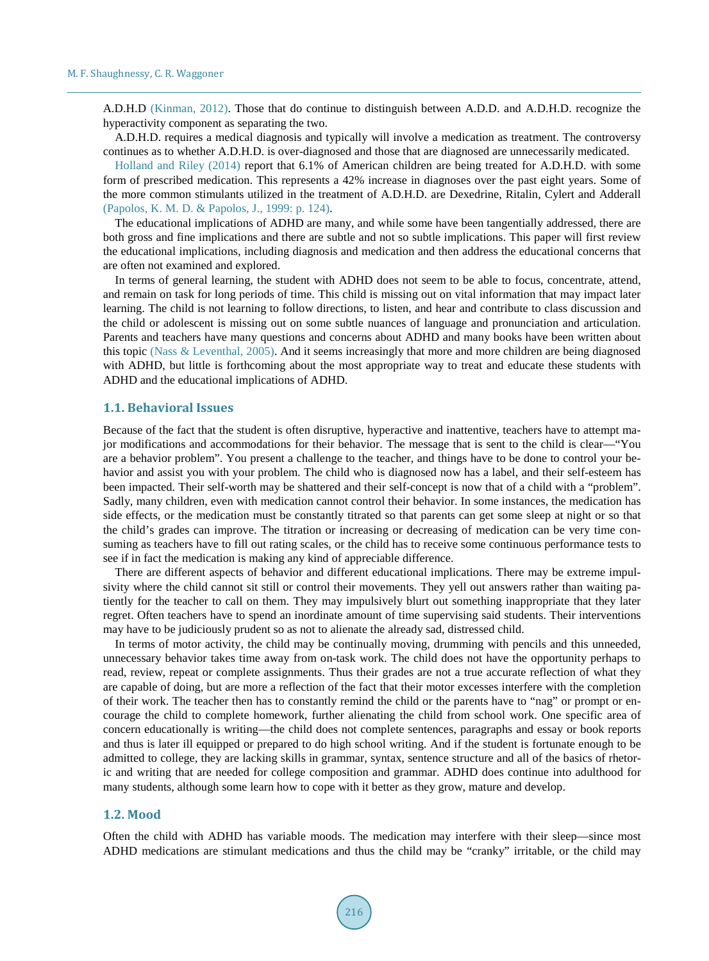A.D.H.D [\(Kinman, 2012\).](#page-8-0) Those that do continue to distinguish between A.D.D. and A.D.H.D. recognize the hyperactivity component as separating the two.

A.D.H.D. requires a medical diagnosis and typically will involve a medication as treatment. The controversy continues as to whether A.D.H.D. is over-diagnosed and those that are diagnosed are unnecessarily medicated.

[Holland and Riley \(2014\)](#page-8-0) report that 6.1% of American children are being treated for A.D.H.D. with some form of prescribed medication. This represents a 42% increase in diagnoses over the past eight years. Some of the more common stimulants utilized in the treatment of A.D.H.D. are Dexedrine, Ritalin, Cylert and Adderall [\(Papolos, K.](#page-8-0) M. D. & Papolos, J., 1999: p. 124).

The educational implications of ADHD are many, and while some have been tangentially addressed, there are both gross and fine implications and there are subtle and not so subtle implications. This paper will first review the educational implications, including diagnosis and medication and then address the educational concerns that are often not examined and explored.

In terms of general learning, the student with ADHD does not seem to be able to focus, concentrate, attend, and remain on task for long periods of time. This child is missing out on vital information that may impact later learning. The child is not learning to follow directions, to listen, and hear and contribute to class discussion and the child or adolescent is missing out on some subtle nuances of language and pronunciation and articulation. Parents and teachers have many questions and concerns about ADHD and many books have been written about this topic (Nass & [Leventhal, 2005\).](#page-8-0) And it seems increasingly that more and more children are being diagnosed with ADHD, but little is forthcoming about the most appropriate way to treat and educate these students with ADHD and the educational implications of ADHD.

#### **1.1. Behavioral Issues**

Because of the fact that the student is often disruptive, hyperactive and inattentive, teachers have to attempt major modifications and accommodations for their behavior. The message that is sent to the child is clear—"You are a behavior problem". You present a challenge to the teacher, and things have to be done to control your behavior and assist you with your problem. The child who is diagnosed now has a label, and their self-esteem has been impacted. Their self-worth may be shattered and their self-concept is now that of a child with a "problem". Sadly, many children, even with medication cannot control their behavior. In some instances, the medication has side effects, or the medication must be constantly titrated so that parents can get some sleep at night or so that the child's grades can improve. The titration or increasing or decreasing of medication can be very time consuming as teachers have to fill out rating scales, or the child has to receive some continuous performance tests to see if in fact the medication is making any kind of appreciable difference.

There are different aspects of behavior and different educational implications. There may be extreme impulsivity where the child cannot sit still or control their movements. They yell out answers rather than waiting patiently for the teacher to call on them. They may impulsively blurt out something inappropriate that they later regret. Often teachers have to spend an inordinate amount of time supervising said students. Their interventions may have to be judiciously prudent so as not to alienate the already sad, distressed child.

In terms of motor activity, the child may be continually moving, drumming with pencils and this unneeded, unnecessary behavior takes time away from on-task work. The child does not have the opportunity perhaps to read, review, repeat or complete assignments. Thus their grades are not a true accurate reflection of what they are capable of doing, but are more a reflection of the fact that their motor excesses interfere with the completion of their work. The teacher then has to constantly remind the child or the parents have to "nag" or prompt or encourage the child to complete homework, further alienating the child from school work. One specific area of concern educationally is writing—the child does not complete sentences, paragraphs and essay or book reports and thus is later ill equipped or prepared to do high school writing. And if the student is fortunate enough to be admitted to college, they are lacking skills in grammar, syntax, sentence structure and all of the basics of rhetoric and writing that are needed for college composition and grammar. ADHD does continue into adulthood for many students, although some learn how to cope with it better as they grow, mature and develop.

#### **1.2. Mood**

Often the child with ADHD has variable moods. The medication may interfere with their sleep—since most ADHD medications are stimulant medications and thus the child may be "cranky" irritable, or the child may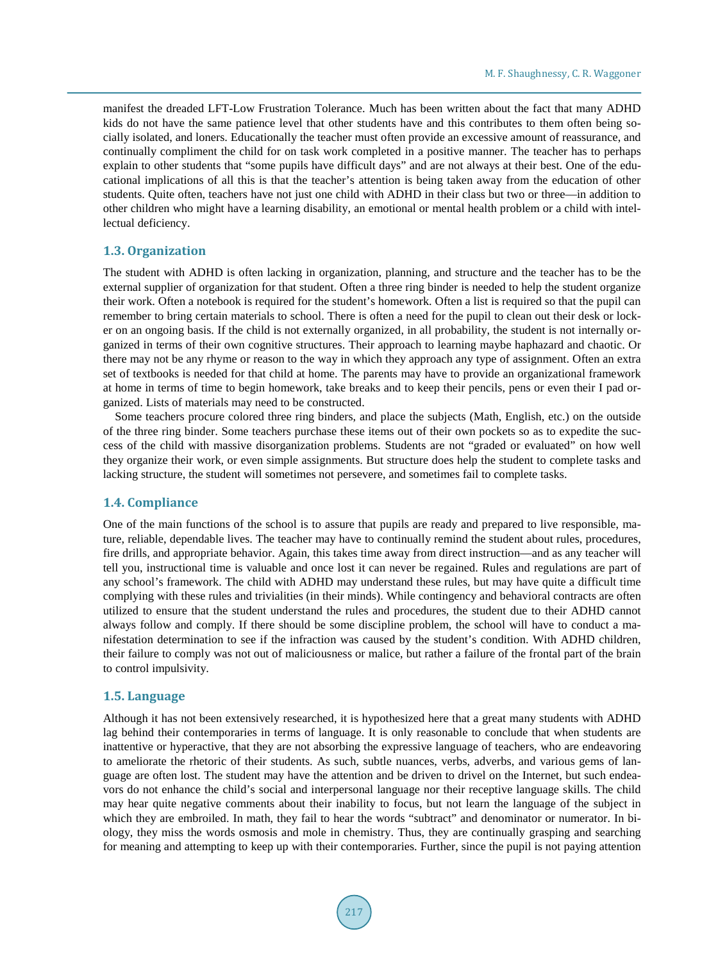manifest the dreaded LFT-Low Frustration Tolerance. Much has been written about the fact that many ADHD kids do not have the same patience level that other students have and this contributes to them often being socially isolated, and loners. Educationally the teacher must often provide an excessive amount of reassurance, and continually compliment the child for on task work completed in a positive manner. The teacher has to perhaps explain to other students that "some pupils have difficult days" and are not always at their best. One of the educational implications of all this is that the teacher's attention is being taken away from the education of other students. Quite often, teachers have not just one child with ADHD in their class but two or three—in addition to other children who might have a learning disability, an emotional or mental health problem or a child with intellectual deficiency.

### **1.3. Organization**

The student with ADHD is often lacking in organization, planning, and structure and the teacher has to be the external supplier of organization for that student. Often a three ring binder is needed to help the student organize their work. Often a notebook is required for the student's homework. Often a list is required so that the pupil can remember to bring certain materials to school. There is often a need for the pupil to clean out their desk or locker on an ongoing basis. If the child is not externally organized, in all probability, the student is not internally organized in terms of their own cognitive structures. Their approach to learning maybe haphazard and chaotic. Or there may not be any rhyme or reason to the way in which they approach any type of assignment. Often an extra set of textbooks is needed for that child at home. The parents may have to provide an organizational framework at home in terms of time to begin homework, take breaks and to keep their pencils, pens or even their I pad organized. Lists of materials may need to be constructed.

Some teachers procure colored three ring binders, and place the subjects (Math, English, etc.) on the outside of the three ring binder. Some teachers purchase these items out of their own pockets so as to expedite the success of the child with massive disorganization problems. Students are not "graded or evaluated" on how well they organize their work, or even simple assignments. But structure does help the student to complete tasks and lacking structure, the student will sometimes not persevere, and sometimes fail to complete tasks.

## **1.4. Compliance**

One of the main functions of the school is to assure that pupils are ready and prepared to live responsible, mature, reliable, dependable lives. The teacher may have to continually remind the student about rules, procedures, fire drills, and appropriate behavior. Again, this takes time away from direct instruction—and as any teacher will tell you, instructional time is valuable and once lost it can never be regained. Rules and regulations are part of any school's framework. The child with ADHD may understand these rules, but may have quite a difficult time complying with these rules and trivialities (in their minds). While contingency and behavioral contracts are often utilized to ensure that the student understand the rules and procedures, the student due to their ADHD cannot always follow and comply. If there should be some discipline problem, the school will have to conduct a manifestation determination to see if the infraction was caused by the student's condition. With ADHD children, their failure to comply was not out of maliciousness or malice, but rather a failure of the frontal part of the brain to control impulsivity.

#### **1.5. Language**

Although it has not been extensively researched, it is hypothesized here that a great many students with ADHD lag behind their contemporaries in terms of language. It is only reasonable to conclude that when students are inattentive or hyperactive, that they are not absorbing the expressive language of teachers, who are endeavoring to ameliorate the rhetoric of their students. As such, subtle nuances, verbs, adverbs, and various gems of language are often lost. The student may have the attention and be driven to drivel on the Internet, but such endeavors do not enhance the child's social and interpersonal language nor their receptive language skills. The child may hear quite negative comments about their inability to focus, but not learn the language of the subject in which they are embroiled. In math, they fail to hear the words "subtract" and denominator or numerator. In biology, they miss the words osmosis and mole in chemistry. Thus, they are continually grasping and searching for meaning and attempting to keep up with their contemporaries. Further, since the pupil is not paying attention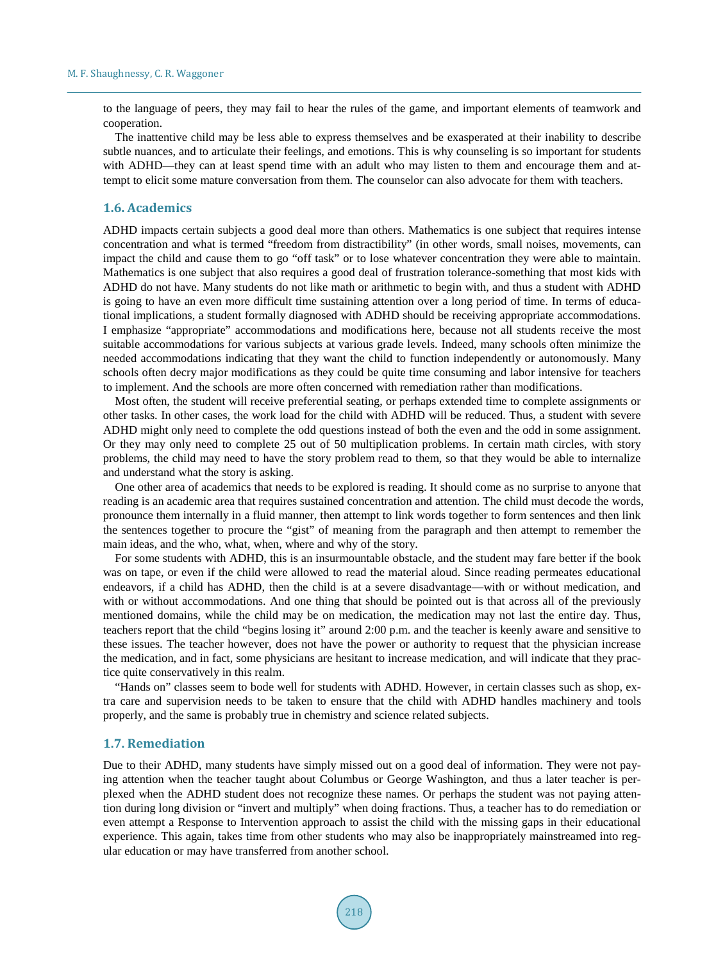to the language of peers, they may fail to hear the rules of the game, and important elements of teamwork and cooperation.

The inattentive child may be less able to express themselves and be exasperated at their inability to describe subtle nuances, and to articulate their feelings, and emotions. This is why counseling is so important for students with ADHD—they can at least spend time with an adult who may listen to them and encourage them and attempt to elicit some mature conversation from them. The counselor can also advocate for them with teachers.

#### **1.6. Academics**

ADHD impacts certain subjects a good deal more than others. Mathematics is one subject that requires intense concentration and what is termed "freedom from distractibility" (in other words, small noises, movements, can impact the child and cause them to go "off task" or to lose whatever concentration they were able to maintain. Mathematics is one subject that also requires a good deal of frustration tolerance-something that most kids with ADHD do not have. Many students do not like math or arithmetic to begin with, and thus a student with ADHD is going to have an even more difficult time sustaining attention over a long period of time. In terms of educational implications, a student formally diagnosed with ADHD should be receiving appropriate accommodations. I emphasize "appropriate" accommodations and modifications here, because not all students receive the most suitable accommodations for various subjects at various grade levels. Indeed, many schools often minimize the needed accommodations indicating that they want the child to function independently or autonomously. Many schools often decry major modifications as they could be quite time consuming and labor intensive for teachers to implement. And the schools are more often concerned with remediation rather than modifications.

Most often, the student will receive preferential seating, or perhaps extended time to complete assignments or other tasks. In other cases, the work load for the child with ADHD will be reduced. Thus, a student with severe ADHD might only need to complete the odd questions instead of both the even and the odd in some assignment. Or they may only need to complete 25 out of 50 multiplication problems. In certain math circles, with story problems, the child may need to have the story problem read to them, so that they would be able to internalize and understand what the story is asking.

One other area of academics that needs to be explored is reading. It should come as no surprise to anyone that reading is an academic area that requires sustained concentration and attention. The child must decode the words, pronounce them internally in a fluid manner, then attempt to link words together to form sentences and then link the sentences together to procure the "gist" of meaning from the paragraph and then attempt to remember the main ideas, and the who, what, when, where and why of the story.

For some students with ADHD, this is an insurmountable obstacle, and the student may fare better if the book was on tape, or even if the child were allowed to read the material aloud. Since reading permeates educational endeavors, if a child has ADHD, then the child is at a severe disadvantage—with or without medication, and with or without accommodations. And one thing that should be pointed out is that across all of the previously mentioned domains, while the child may be on medication, the medication may not last the entire day. Thus, teachers report that the child "begins losing it" around 2:00 p.m. and the teacher is keenly aware and sensitive to these issues. The teacher however, does not have the power or authority to request that the physician increase the medication, and in fact, some physicians are hesitant to increase medication, and will indicate that they practice quite conservatively in this realm.

"Hands on" classes seem to bode well for students with ADHD. However, in certain classes such as shop, extra care and supervision needs to be taken to ensure that the child with ADHD handles machinery and tools properly, and the same is probably true in chemistry and science related subjects.

#### **1.7. Remediation**

Due to their ADHD, many students have simply missed out on a good deal of information. They were not paying attention when the teacher taught about Columbus or George Washington, and thus a later teacher is perplexed when the ADHD student does not recognize these names. Or perhaps the student was not paying attention during long division or "invert and multiply" when doing fractions. Thus, a teacher has to do remediation or even attempt a Response to Intervention approach to assist the child with the missing gaps in their educational experience. This again, takes time from other students who may also be inappropriately mainstreamed into regular education or may have transferred from another school.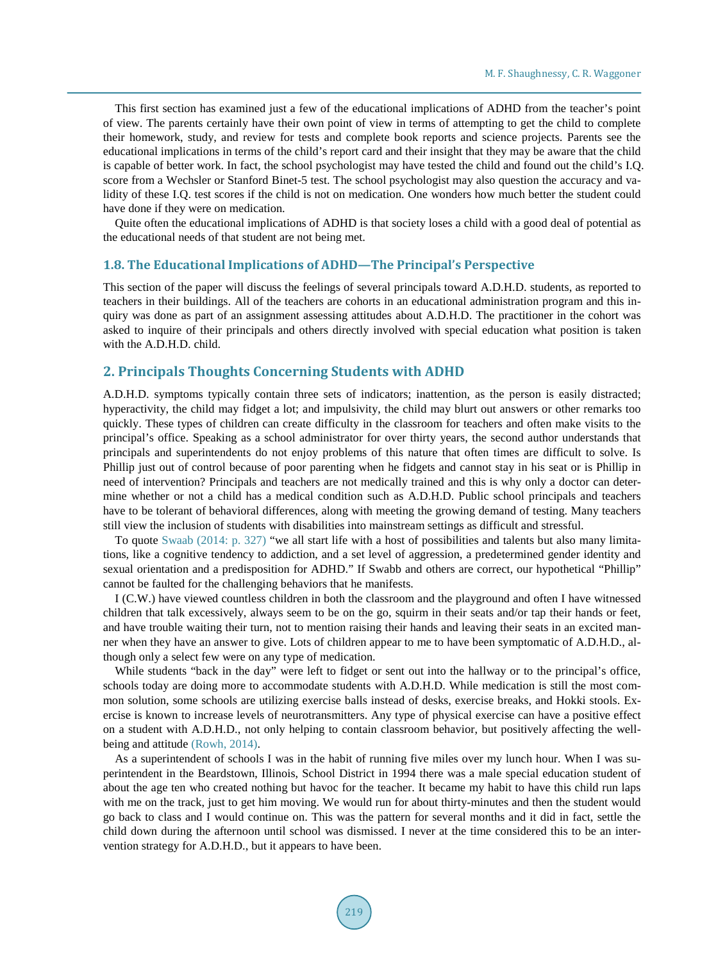This first section has examined just a few of the educational implications of ADHD from the teacher's point of view. The parents certainly have their own point of view in terms of attempting to get the child to complete their homework, study, and review for tests and complete book reports and science projects. Parents see the educational implications in terms of the child's report card and their insight that they may be aware that the child is capable of better work. In fact, the school psychologist may have tested the child and found out the child's I.Q. score from a Wechsler or Stanford Binet-5 test. The school psychologist may also question the accuracy and validity of these I.Q. test scores if the child is not on medication. One wonders how much better the student could have done if they were on medication.

Quite often the educational implications of ADHD is that society loses a child with a good deal of potential as the educational needs of that student are not being met.

#### **1.8. The Educational Implications of ADHD—The Principal's Perspective**

This section of the paper will discuss the feelings of several principals toward A.D.H.D. students, as reported to teachers in their buildings. All of the teachers are cohorts in an educational administration program and this inquiry was done as part of an assignment assessing attitudes about A.D.H.D. The practitioner in the cohort was asked to inquire of their principals and others directly involved with special education what position is taken with the A.D.H.D. child.

# **2. Principals Thoughts Concerning Students with ADHD**

A.D.H.D. symptoms typically contain three sets of indicators; inattention, as the person is easily distracted; hyperactivity, the child may fidget a lot; and impulsivity, the child may blurt out answers or other remarks too quickly. These types of children can create difficulty in the classroom for teachers and often make visits to the principal's office. Speaking as a school administrator for over thirty years, the second author understands that principals and superintendents do not enjoy problems of this nature that often times are difficult to solve. Is Phillip just out of control because of poor parenting when he fidgets and cannot stay in his seat or is Phillip in need of intervention? Principals and teachers are not medically trained and this is why only a doctor can determine whether or not a child has a medical condition such as A.D.H.D. Public school principals and teachers have to be tolerant of behavioral differences, along with meeting the growing demand of testing. Many teachers still view the inclusion of students with disabilities into mainstream settings as difficult and stressful.

To quote [Swaab \(2014:](#page-8-0) p. 327) "we all start life with a host of possibilities and talents but also many limitations, like a cognitive tendency to addiction, and a set level of aggression, a predetermined gender identity and sexual orientation and a predisposition for ADHD." If Swabb and others are correct, our hypothetical "Phillip" cannot be faulted for the challenging behaviors that he manifests.

I (C.W.) have viewed countless children in both the classroom and the playground and often I have witnessed children that talk excessively, always seem to be on the go, squirm in their seats and/or tap their hands or feet, and have trouble waiting their turn, not to mention raising their hands and leaving their seats in an excited manner when they have an answer to give. Lots of children appear to me to have been symptomatic of A.D.H.D., although only a select few were on any type of medication.

While students "back in the day" were left to fidget or sent out into the hallway or to the principal's office, schools today are doing more to accommodate students with A.D.H.D. While medication is still the most common solution, some schools are utilizing exercise balls instead of desks, exercise breaks, and Hokki stools. Exercise is known to increase levels of neurotransmitters. Any type of physical exercise can have a positive effect on a student with A.D.H.D., not only helping to contain classroom behavior, but positively affecting the wellbeing and attitude [\(Rowh, 2014\).](#page-8-0)

As a superintendent of schools I was in the habit of running five miles over my lunch hour. When I was superintendent in the Beardstown, Illinois, School District in 1994 there was a male special education student of about the age ten who created nothing but havoc for the teacher. It became my habit to have this child run laps with me on the track, just to get him moving. We would run for about thirty-minutes and then the student would go back to class and I would continue on. This was the pattern for several months and it did in fact, settle the child down during the afternoon until school was dismissed. I never at the time considered this to be an intervention strategy for A.D.H.D., but it appears to have been.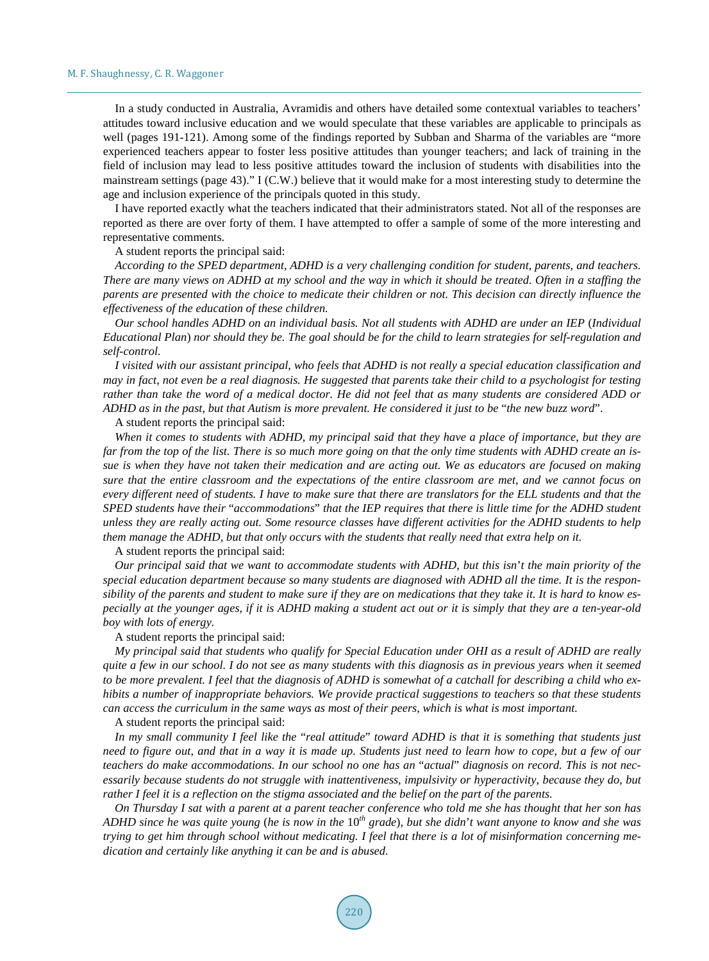In a study conducted in Australia, Avramidis and others have detailed some contextual variables to teachers' attitudes toward inclusive education and we would speculate that these variables are applicable to principals as well (pages 191-121). Among some of the findings reported by Subban and Sharma of the variables are "more experienced teachers appear to foster less positive attitudes than younger teachers; and lack of training in the field of inclusion may lead to less positive attitudes toward the inclusion of students with disabilities into the mainstream settings (page 43)." I (C.W.) believe that it would make for a most interesting study to determine the age and inclusion experience of the principals quoted in this study.

I have reported exactly what the teachers indicated that their administrators stated. Not all of the responses are reported as there are over forty of them. I have attempted to offer a sample of some of the more interesting and representative comments.

A student reports the principal said:

*According to the SPED department*, *ADHD is a very challenging condition for student*, *parents*, *and teachers. There are many views on ADHD at my school and the way in which it should be treated. Often in a staffing the parents are presented with the choice to medicate their children or not. This decision can directly influence the effectiveness of the education of these children.*

*Our school handles ADHD on an individual basis. Not all students with ADHD are under an IEP* (*Individual Educational Plan*) *nor should they be. The goal should be for the child to learn strategies for self-regulation and self-control.*

*I visited with our assistant principal*, *who feels that ADHD is not really a special education classification and may in fact*, *not even be a real diagnosis. He suggested that parents take their child to a psychologist for testing rather than take the word of a medical doctor. He did not feel that as many students are considered ADD or ADHD as in the past*, *but that Autism is more prevalent. He considered it just to be* "*the new buzz word*".

A student reports the principal said:

*When it comes to students with ADHD*, *my principal said that they have a place of importance*, *but they are far from the top of the list. There is so much more going on that the only time students with ADHD create an issue is when they have not taken their medication and are acting out. We as educators are focused on making sure that the entire classroom and the expectations of the entire classroom are met*, *and we cannot focus on every different need of students. I have to make sure that there are translators for the ELL students and that the SPED students have their* "*accommodations*" *that the IEP requires that there is little time for the ADHD student unless they are really acting out. Some resource classes have different activities for the ADHD students to help them manage the ADHD*, *but that only occurs with the students that really need that extra help on it.*

A student reports the principal said:

*Our principal said that we want to accommodate students with ADHD*, *but this isn*'*t the main priority of the special education department because so many students are diagnosed with ADHD all the time. It is the responsibility of the parents and student to make sure if they are on medications that they take it. It is hard to know especially at the younger ages*, *if it is ADHD making a student act out or it is simply that they are a ten-year-old boy with lots of energy.*

A student reports the principal said:

*My principal said that students who qualify for Special Education under OHI as a result of ADHD are really quite a few in our school. I do not see as many students with this diagnosis as in previous years when it seemed to be more prevalent. I feel that the diagnosis of ADHD is somewhat of a catchall for describing a child who exhibits a number of inappropriate behaviors. We provide practical suggestions to teachers so that these students can access the curriculum in the same ways as most of their peers*, *which is what is most important.*

A student reports the principal said:

*In my small community I feel like the* "*real attitude*" *toward ADHD is that it is something that students just need to figure out*, *and that in a way it is made up. Students just need to learn how to cope*, *but a few of our teachers do make accommodations. In our school no one has an* "*actual*" *diagnosis on record. This is not necessarily because students do not struggle with inattentiveness*, *impulsivity or hyperactivity*, *because they do*, *but rather I feel it is a reflection on the stigma associated and the belief on the part of the parents.*

*On Thursday I sat with a parent at a parent teacher conference who told me she has thought that her son has ADHD since he was quite young* (*he is now in the* 10*th grade*), *but she didn*'*t want anyone to know and she was trying to get him through school without medicating. I feel that there is a lot of misinformation concerning medication and certainly like anything it can be and is abused.*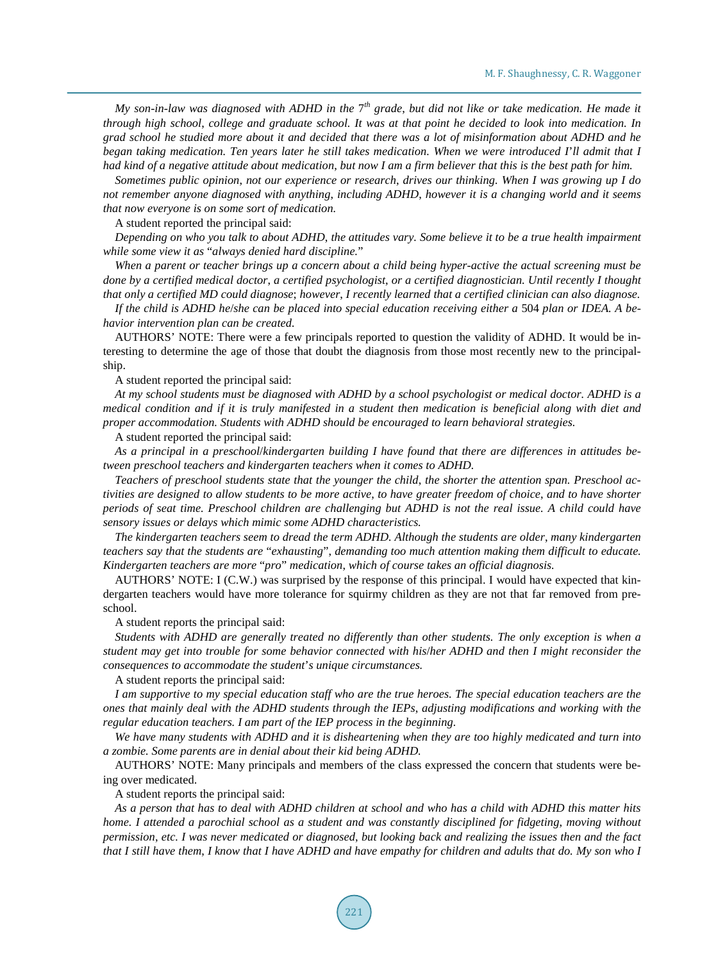*My son-in-law was diagnosed with ADHD in the* 7*th grade*, *but did not like or take medication. He made it through high school*, *college and graduate school. It was at that point he decided to look into medication. In grad school he studied more about it and decided that there was a lot of misinformation about ADHD and he began taking medication. Ten years later he still takes medication. When we were introduced I*'*ll admit that I had kind of a negative attitude about medication*, *but now I am a firm believer that this is the best path for him.*

*Sometimes public opinion*, *not our experience or research*, *drives our thinking. When I was growing up I do not remember anyone diagnosed with anything*, *including ADHD*, *however it is a changing world and it seems that now everyone is on some sort of medication.*

A student reported the principal said:

*Depending on who you talk to about ADHD*, *the attitudes vary. Some believe it to be a true health impairment while some view it as* "*always denied hard discipline.*"

*When a parent or teacher brings up a concern about a child being hyper-active the actual screening must be done by a certified medical doctor*, *a certified psychologist*, *or a certified diagnostician. Until recently I thought that only a certified MD could diagnose*; *however*, *I recently learned that a certified clinician can also diagnose.*

*If the child is ADHD he*/*she can be placed into special education receiving either a* 504 *plan or IDEA. A behavior intervention plan can be created.*

AUTHORS' NOTE: There were a few principals reported to question the validity of ADHD. It would be interesting to determine the age of those that doubt the diagnosis from those most recently new to the principalship.

A student reported the principal said:

*At my school students must be diagnosed with ADHD by a school psychologist or medical doctor. ADHD is a medical condition and if it is truly manifested in a student then medication is beneficial along with diet and proper accommodation. Students with ADHD should be encouraged to learn behavioral strategies.*

A student reported the principal said:

*As a principal in a preschool*/*kindergarten building I have found that there are differences in attitudes between preschool teachers and kindergarten teachers when it comes to ADHD.*

*Teachers of preschool students state that the younger the child*, *the shorter the attention span. Preschool activities are designed to allow students to be more active*, *to have greater freedom of choice*, *and to have shorter periods of seat time. Preschool children are challenging but ADHD is not the real issue. A child could have sensory issues or delays which mimic some ADHD characteristics.* 

*The kindergarten teachers seem to dread the term ADHD. Although the students are older*, *many kindergarten teachers say that the students are* "*exhausting*", *demanding too much attention making them difficult to educate. Kindergarten teachers are more* "*pro*" *medication*, *which of course takes an official diagnosis.* 

AUTHORS' NOTE: I (C.W.) was surprised by the response of this principal. I would have expected that kindergarten teachers would have more tolerance for squirmy children as they are not that far removed from preschool.

A student reports the principal said:

*Students with ADHD are generally treated no differently than other students. The only exception is when a student may get into trouble for some behavior connected with his*/*her ADHD and then I might reconsider the consequences to accommodate the student*'*s unique circumstances.*

A student reports the principal said:

*I am supportive to my special education staff who are the true heroes. The special education teachers are the ones that mainly deal with the ADHD students through the IEPs*, *adjusting modifications and working with the regular education teachers. I am part of the IEP process in the beginning.*

*We have many students with ADHD and it is disheartening when they are too highly medicated and turn into a zombie. Some parents are in denial about their kid being ADHD.*

AUTHORS' NOTE: Many principals and members of the class expressed the concern that students were being over medicated.

A student reports the principal said:

*As a person that has to deal with ADHD children at school and who has a child with ADHD this matter hits home. I attended a parochial school as a student and was constantly disciplined for fidgeting*, *moving without permission*, *etc. I was never medicated or diagnosed*, *but looking back and realizing the issues then and the fact that I still have them*, *I know that I have ADHD and have empathy for children and adults that do. My son who I*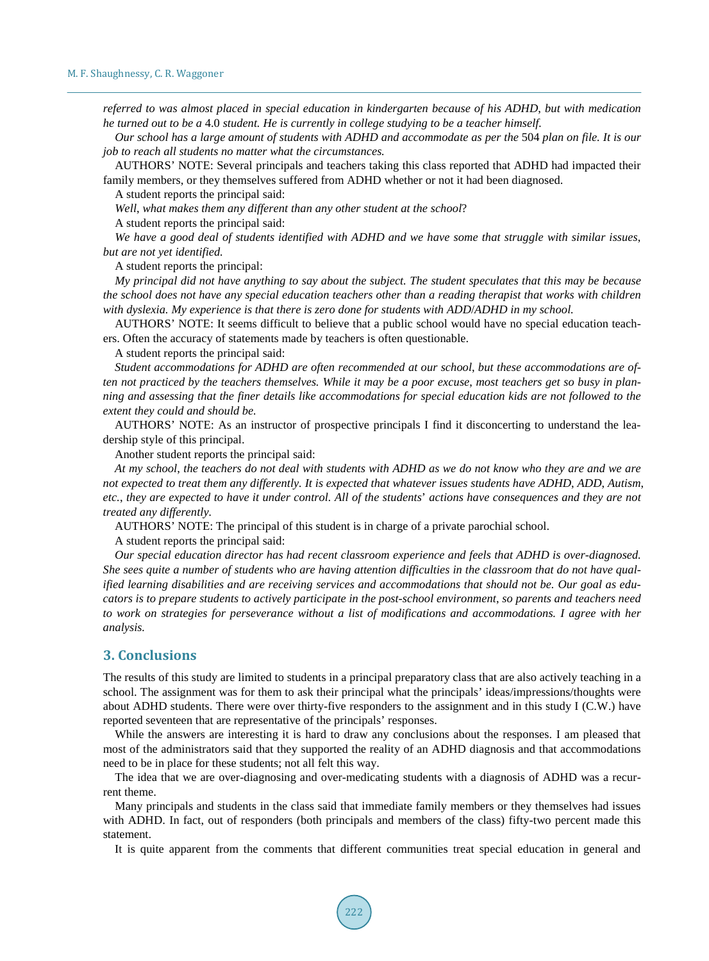*referred to was almost placed in special education in kindergarten because of his ADHD*, *but with medication he turned out to be a* 4.0 *student. He is currently in college studying to be a teacher himself.*

*Our school has a large amount of students with ADHD and accommodate as per the* 504 *plan on file. It is our job to reach all students no matter what the circumstances.*

AUTHORS' NOTE: Several principals and teachers taking this class reported that ADHD had impacted their family members, or they themselves suffered from ADHD whether or not it had been diagnosed.

A student reports the principal said:

*Well*, *what makes them any different than any other student at the school*?

A student reports the principal said:

*We have a good deal of students identified with ADHD and we have some that struggle with similar issues*, *but are not yet identified.*

A student reports the principal:

*My principal did not have anything to say about the subject. The student speculates that this may be because the school does not have any special education teachers other than a reading therapist that works with children with dyslexia. My experience is that there is zero done for students with ADD*/*ADHD in my school.*

AUTHORS' NOTE: It seems difficult to believe that a public school would have no special education teachers. Often the accuracy of statements made by teachers is often questionable.

A student reports the principal said:

*Student accommodations for ADHD are often recommended at our school*, *but these accommodations are often not practiced by the teachers themselves. While it may be a poor excuse*, *most teachers get so busy in planning and assessing that the finer details like accommodations for special education kids are not followed to the extent they could and should be.*

AUTHORS' NOTE: As an instructor of prospective principals I find it disconcerting to understand the leadership style of this principal.

Another student reports the principal said:

*At my school*, *the teachers do not deal with students with ADHD as we do not know who they are and we are not expected to treat them any differently. It is expected that whatever issues students have ADHD*, *ADD*, *Autism*, *etc.*, *they are expected to have it under control. All of the students*' *actions have consequences and they are not treated any differently.*

AUTHORS' NOTE: The principal of this student is in charge of a private parochial school.

A student reports the principal said:

*Our special education director has had recent classroom experience and feels that ADHD is over-diagnosed. She sees quite a number of students who are having attention difficulties in the classroom that do not have qualified learning disabilities and are receiving services and accommodations that should not be. Our goal as educators is to prepare students to actively participate in the post-school environment*, *so parents and teachers need to work on strategies for perseverance without a list of modifications and accommodations. I agree with her analysis.*

## **3. Conclusions**

The results of this study are limited to students in a principal preparatory class that are also actively teaching in a school. The assignment was for them to ask their principal what the principals' ideas/impressions/thoughts were about ADHD students. There were over thirty-five responders to the assignment and in this study I (C.W.) have reported seventeen that are representative of the principals' responses.

While the answers are interesting it is hard to draw any conclusions about the responses. I am pleased that most of the administrators said that they supported the reality of an ADHD diagnosis and that accommodations need to be in place for these students; not all felt this way.

The idea that we are over-diagnosing and over-medicating students with a diagnosis of ADHD was a recurrent theme.

Many principals and students in the class said that immediate family members or they themselves had issues with ADHD. In fact, out of responders (both principals and members of the class) fifty-two percent made this statement.

It is quite apparent from the comments that different communities treat special education in general and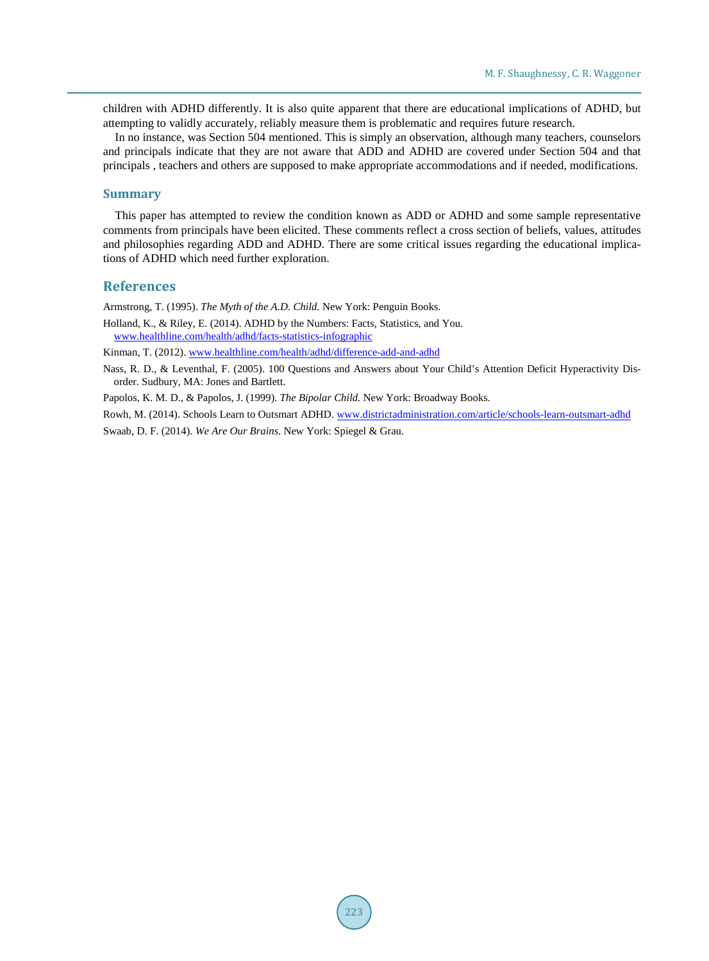children with ADHD differently. It is also quite apparent that there are educational implications of ADHD, but attempting to validly accurately, reliably measure them is problematic and requires future research.

In no instance, was Section 504 mentioned. This is simply an observation, although many teachers, counselors and principals indicate that they are not aware that ADD and ADHD are covered under Section 504 and that principals , teachers and others are supposed to make appropriate accommodations and if needed, modifications.

#### **Summary**

This paper has attempted to review the condition known as ADD or ADHD and some sample representative comments from principals have been elicited. These comments reflect a cross section of beliefs, values, attitudes and philosophies regarding ADD and ADHD. There are some critical issues regarding the educational implications of ADHD which need further exploration.

#### **References**

<span id="page-8-0"></span>Armstrong, T. (1995). *The Myth of the A.D. Child.* New York: Penguin Books.

Holland, K., & Riley, E. (2014). ADHD by the Numbers: Facts, Statistics, and You. [www.healthline.com/health/adhd/facts-statistics-infographic](http://www.healthline.com/health/adhd/facts-statistics-infographic) 

Kinman, T. (2012)[. www.healthline.com/health/adhd/difference-add-and-adhd](http://www.healthline.com/health/adhd/difference-add-and-adhd)

Nass, R. D., & Leventhal, F. (2005). 100 Questions and Answers about Your Child's Attention Deficit Hyperactivity Disorder. Sudbury, MA: Jones and Bartlett.

Papolos, K. M. D., & Papolos, J. (1999). *The Bipolar Child.* New York: Broadway Books.

Rowh, M. (2014). Schools Learn to Outsmart ADHD. [www.districtadministration.com/article/schools-learn-outsmart-adhd](http://www.districtadministration.com/article/schools-learn-outsmart-adhd)

Swaab, D. F. (2014). *We Are Our Brains.* New York: Spiegel & Grau.